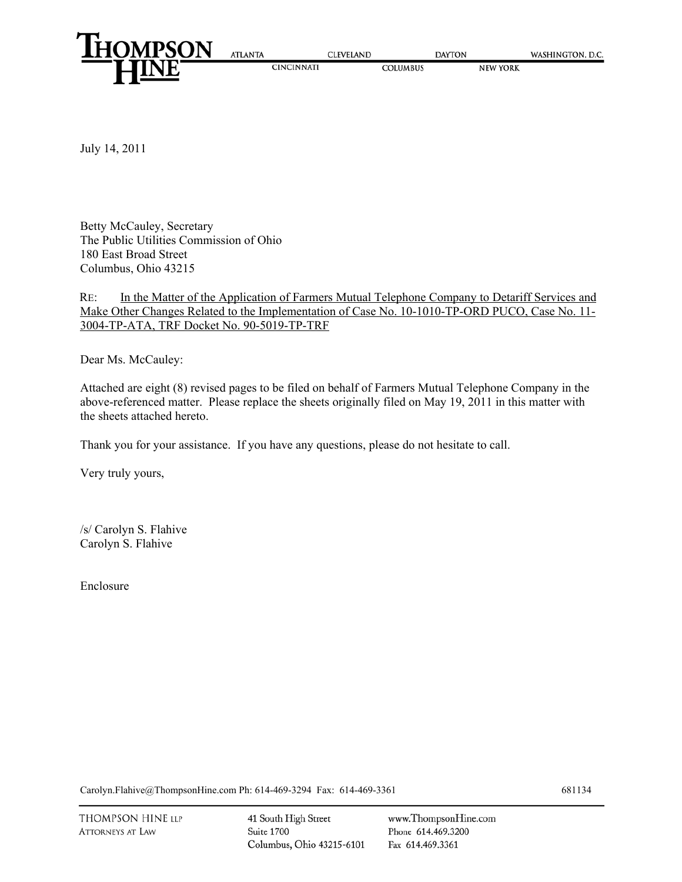

July 14, 2011

Betty McCauley, Secretary The Public Utilities Commission of Ohio 180 East Broad Street Columbus, Ohio 43215

RE: In the Matter of the Application of Farmers Mutual Telephone Company to Detariff Services and Make Other Changes Related to the Implementation of Case No. 10-1010-TP-ORD PUCO, Case No. 11- 3004-TP-ATA, TRF Docket No. 90-5019-TP-TRF

Dear Ms. McCauley:

Attached are eight (8) revised pages to be filed on behalf of Farmers Mutual Telephone Company in the above-referenced matter. Please replace the sheets originally filed on May 19, 2011 in this matter with the sheets attached hereto.

Thank you for your assistance. If you have any questions, please do not hesitate to call.

Very truly yours,

/s/ Carolyn S. Flahive Carolyn S. Flahive

Enclosure

Carolyn.Flahive@ThompsonHine.com Ph: 614-469-3294 Fax: 614-469-3361 681134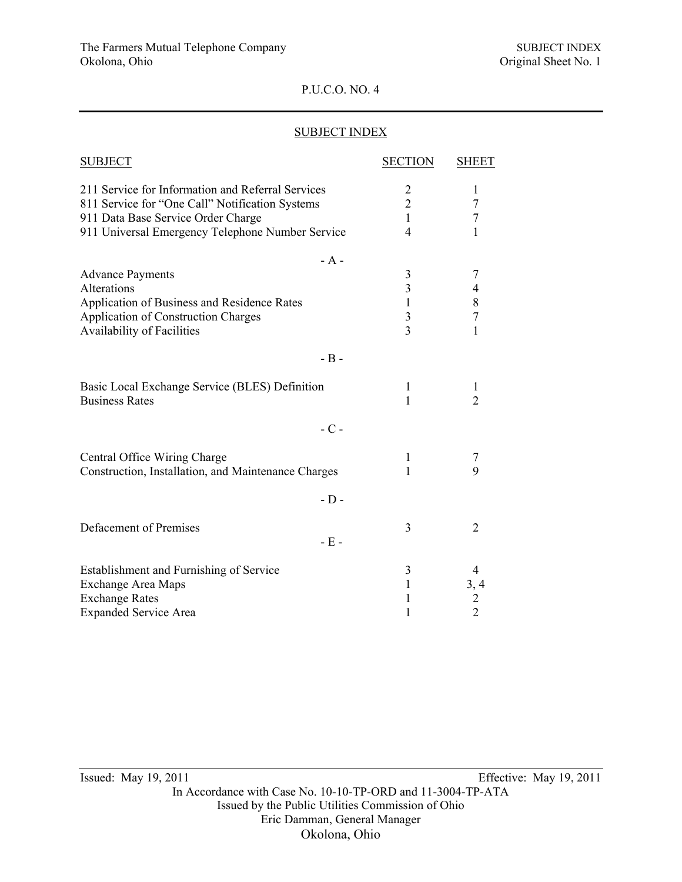# SUBJECT INDEX

| <b>SUBJECT</b>                                                                                                                                                                                 | <b>SECTION</b>                                                          | <b>SHEET</b>               |
|------------------------------------------------------------------------------------------------------------------------------------------------------------------------------------------------|-------------------------------------------------------------------------|----------------------------|
| 211 Service for Information and Referral Services<br>811 Service for "One Call" Notification Systems<br>911 Data Base Service Order Charge<br>911 Universal Emergency Telephone Number Service | $\overline{2}$<br>$\overline{2}$<br>$\mathbf{1}$<br>$\overline{4}$      | 1<br>7<br>7<br>1           |
| $- A -$<br><b>Advance Payments</b><br>Alterations<br>Application of Business and Residence Rates<br>Application of Construction Charges<br>Availability of Facilities                          | 3<br>$\mathfrak{Z}$<br>$\mathbf{1}$<br>$\mathfrak{Z}$<br>$\overline{3}$ | 7<br>4<br>8<br>7<br>1      |
| $-B -$                                                                                                                                                                                         |                                                                         |                            |
| Basic Local Exchange Service (BLES) Definition<br><b>Business Rates</b>                                                                                                                        | $\mathbf{1}$<br>1                                                       | 1<br>$\overline{2}$        |
| $-C -$                                                                                                                                                                                         |                                                                         |                            |
| Central Office Wiring Charge<br>Construction, Installation, and Maintenance Charges                                                                                                            | 1<br>1                                                                  | 7<br>9                     |
| $-D-$                                                                                                                                                                                          |                                                                         |                            |
| Defacement of Premises<br>$-E -$                                                                                                                                                               | 3                                                                       | $\overline{2}$             |
| Establishment and Furnishing of Service<br>Exchange Area Maps<br><b>Exchange Rates</b><br><b>Expanded Service Area</b>                                                                         | 3<br>$\mathbf{1}$<br>1<br>1                                             | 4<br>3, 4<br>$\frac{2}{2}$ |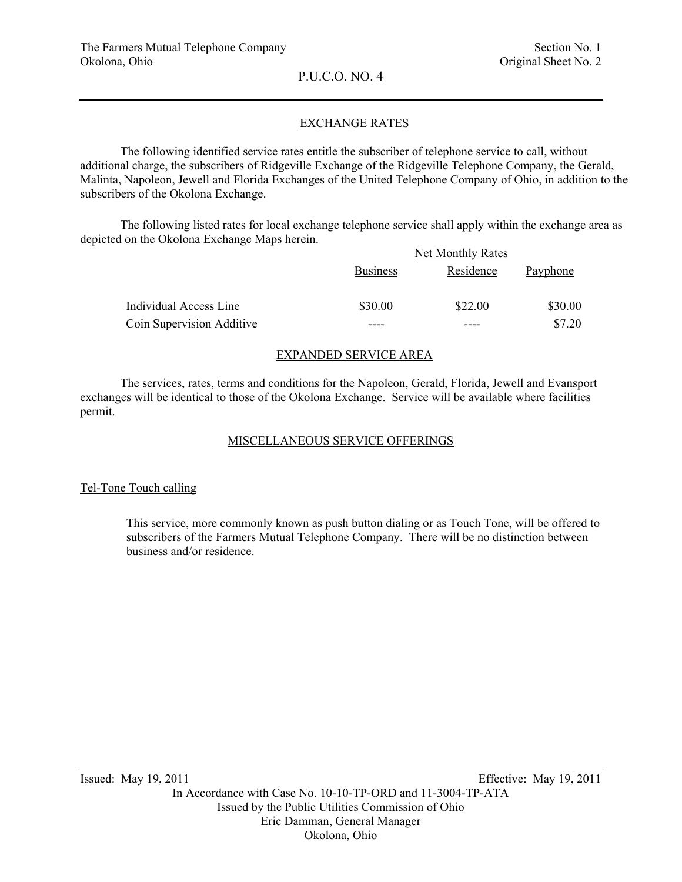## EXCHANGE RATES

 The following identified service rates entitle the subscriber of telephone service to call, without additional charge, the subscribers of Ridgeville Exchange of the Ridgeville Telephone Company, the Gerald, Malinta, Napoleon, Jewell and Florida Exchanges of the United Telephone Company of Ohio, in addition to the subscribers of the Okolona Exchange.

 The following listed rates for local exchange telephone service shall apply within the exchange area as depicted on the Okolona Exchange Maps herein.

|                           |                 | Net Monthly Rates |          |  |
|---------------------------|-----------------|-------------------|----------|--|
|                           | <b>Business</b> | Residence         | Payphone |  |
| Individual Access Line    | \$30.00         | \$22.00           | \$30.00  |  |
| Coin Supervision Additive |                 |                   | \$7.20   |  |

## EXPANDED SERVICE AREA

 The services, rates, terms and conditions for the Napoleon, Gerald, Florida, Jewell and Evansport exchanges will be identical to those of the Okolona Exchange. Service will be available where facilities permit.

## MISCELLANEOUS SERVICE OFFERINGS

### Tel-Tone Touch calling

 This service, more commonly known as push button dialing or as Touch Tone, will be offered to subscribers of the Farmers Mutual Telephone Company. There will be no distinction between business and/or residence.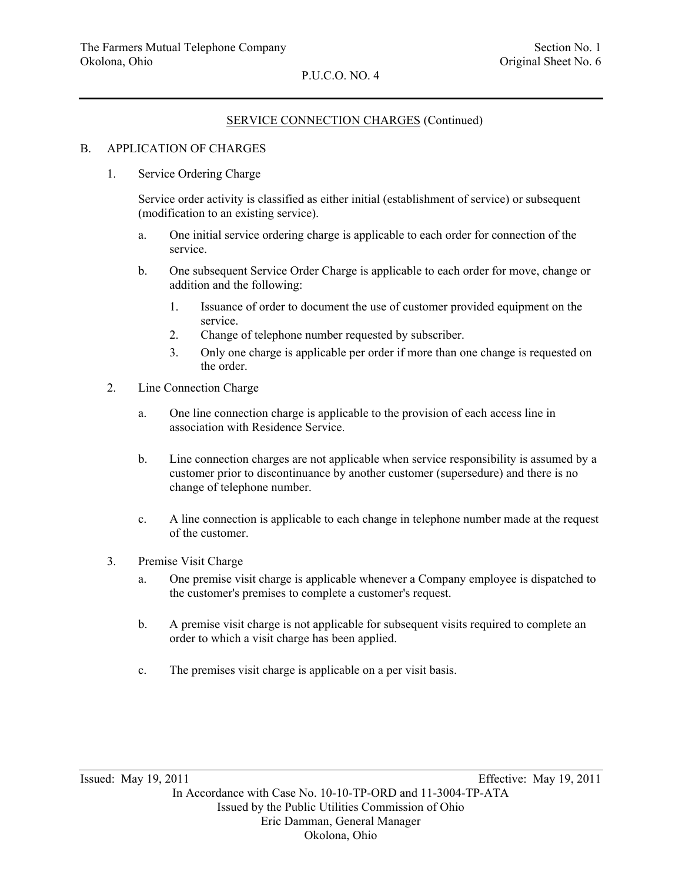## SERVICE CONNECTION CHARGES (Continued)

P.U.C.O. NO. 4

#### B. APPLICATION OF CHARGES

1. Service Ordering Charge

 Service order activity is classified as either initial (establishment of service) or subsequent (modification to an existing service).

- a. One initial service ordering charge is applicable to each order for connection of the service.
- b. One subsequent Service Order Charge is applicable to each order for move, change or addition and the following:
	- 1. Issuance of order to document the use of customer provided equipment on the service.
	- 2. Change of telephone number requested by subscriber.
	- 3. Only one charge is applicable per order if more than one change is requested on the order.
- 2. Line Connection Charge
	- a. One line connection charge is applicable to the provision of each access line in association with Residence Service.
	- b. Line connection charges are not applicable when service responsibility is assumed by a customer prior to discontinuance by another customer (supersedure) and there is no change of telephone number.
	- c. A line connection is applicable to each change in telephone number made at the request of the customer.
- 3. Premise Visit Charge
	- a. One premise visit charge is applicable whenever a Company employee is dispatched to the customer's premises to complete a customer's request.
	- b. A premise visit charge is not applicable for subsequent visits required to complete an order to which a visit charge has been applied.
	- c. The premises visit charge is applicable on a per visit basis.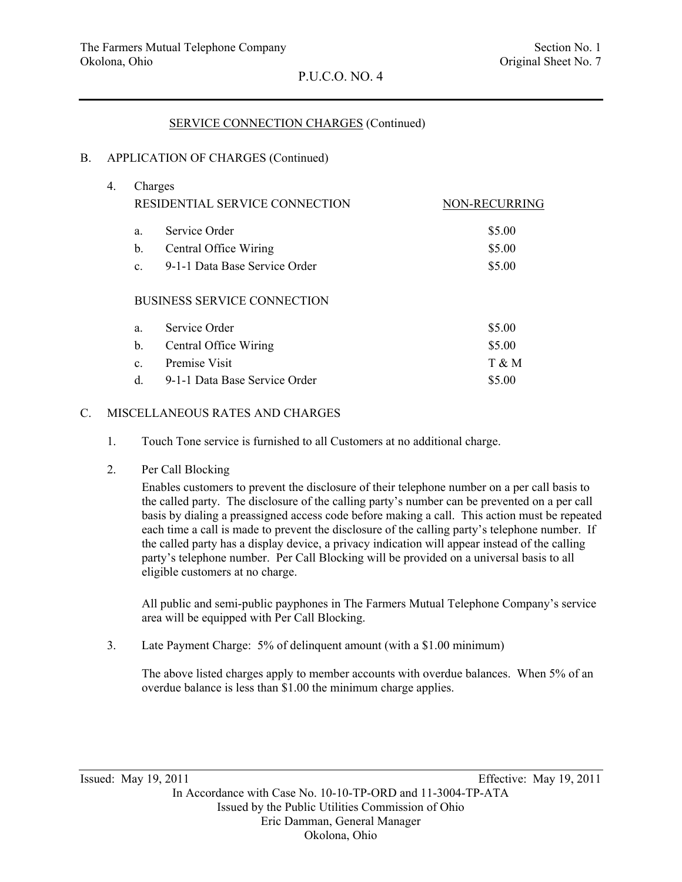## SERVICE CONNECTION CHARGES (Continued)

#### B. APPLICATION OF CHARGES (Continued)

| 4. |                | Charges                            |               |
|----|----------------|------------------------------------|---------------|
|    |                | RESIDENTIAL SERVICE CONNECTION     | NON-RECURRING |
|    | a.             | Service Order                      | \$5.00        |
|    | $\mathbf{b}$ . | Central Office Wiring              | \$5.00        |
|    | $\mathbf{c}$ . | 9-1-1 Data Base Service Order      | \$5.00        |
|    |                | <b>BUSINESS SERVICE CONNECTION</b> |               |
|    | a.             | Service Order                      | \$5.00        |
|    | $\mathbf b$ .  | Central Office Wiring              | \$5.00        |
|    | $\mathbf{c}$ . | Premise Visit                      | T & M         |
|    | d.             | 9-1-1 Data Base Service Order      | \$5.00        |

## C. MISCELLANEOUS RATES AND CHARGES

1. Touch Tone service is furnished to all Customers at no additional charge.

#### 2. Per Call Blocking

 Enables customers to prevent the disclosure of their telephone number on a per call basis to the called party. The disclosure of the calling party's number can be prevented on a per call basis by dialing a preassigned access code before making a call. This action must be repeated each time a call is made to prevent the disclosure of the calling party's telephone number. If the called party has a display device, a privacy indication will appear instead of the calling party's telephone number. Per Call Blocking will be provided on a universal basis to all eligible customers at no charge.

 All public and semi-public payphones in The Farmers Mutual Telephone Company's service area will be equipped with Per Call Blocking.

3. Late Payment Charge: 5% of delinquent amount (with a \$1.00 minimum)

The above listed charges apply to member accounts with overdue balances. When 5% of an overdue balance is less than \$1.00 the minimum charge applies.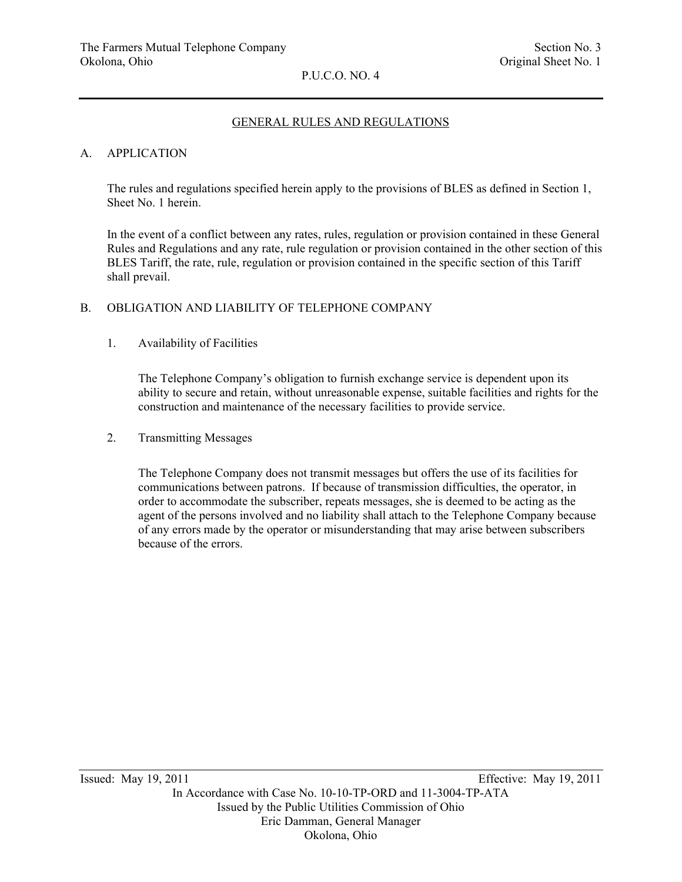### GENERAL RULES AND REGULATIONS

#### A. APPLICATION

 The rules and regulations specified herein apply to the provisions of BLES as defined in Section 1, Sheet No. 1 herein.

 In the event of a conflict between any rates, rules, regulation or provision contained in these General Rules and Regulations and any rate, rule regulation or provision contained in the other section of this BLES Tariff, the rate, rule, regulation or provision contained in the specific section of this Tariff shall prevail.

#### B. OBLIGATION AND LIABILITY OF TELEPHONE COMPANY

#### 1. Availability of Facilities

 The Telephone Company's obligation to furnish exchange service is dependent upon its ability to secure and retain, without unreasonable expense, suitable facilities and rights for the construction and maintenance of the necessary facilities to provide service.

#### 2. Transmitting Messages

 The Telephone Company does not transmit messages but offers the use of its facilities for communications between patrons. If because of transmission difficulties, the operator, in order to accommodate the subscriber, repeats messages, she is deemed to be acting as the agent of the persons involved and no liability shall attach to the Telephone Company because of any errors made by the operator or misunderstanding that may arise between subscribers because of the errors.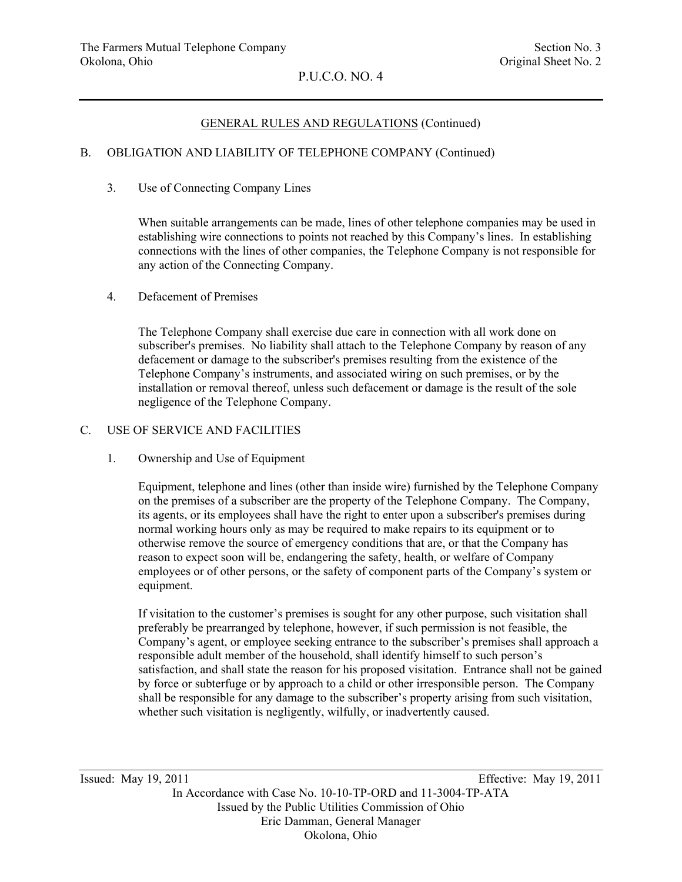## GENERAL RULES AND REGULATIONS (Continued)

### B. OBLIGATION AND LIABILITY OF TELEPHONE COMPANY (Continued)

#### 3. Use of Connecting Company Lines

 When suitable arrangements can be made, lines of other telephone companies may be used in establishing wire connections to points not reached by this Company's lines. In establishing connections with the lines of other companies, the Telephone Company is not responsible for any action of the Connecting Company.

#### 4. Defacement of Premises

 The Telephone Company shall exercise due care in connection with all work done on subscriber's premises. No liability shall attach to the Telephone Company by reason of any defacement or damage to the subscriber's premises resulting from the existence of the Telephone Company's instruments, and associated wiring on such premises, or by the installation or removal thereof, unless such defacement or damage is the result of the sole negligence of the Telephone Company.

#### C. USE OF SERVICE AND FACILITIES

### 1. Ownership and Use of Equipment

 Equipment, telephone and lines (other than inside wire) furnished by the Telephone Company on the premises of a subscriber are the property of the Telephone Company. The Company, its agents, or its employees shall have the right to enter upon a subscriber's premises during normal working hours only as may be required to make repairs to its equipment or to otherwise remove the source of emergency conditions that are, or that the Company has reason to expect soon will be, endangering the safety, health, or welfare of Company employees or of other persons, or the safety of component parts of the Company's system or equipment.

 If visitation to the customer's premises is sought for any other purpose, such visitation shall preferably be prearranged by telephone, however, if such permission is not feasible, the Company's agent, or employee seeking entrance to the subscriber's premises shall approach a responsible adult member of the household, shall identify himself to such person's satisfaction, and shall state the reason for his proposed visitation. Entrance shall not be gained by force or subterfuge or by approach to a child or other irresponsible person. The Company shall be responsible for any damage to the subscriber's property arising from such visitation, whether such visitation is negligently, wilfully, or inadvertently caused.

Issued: May 19, 2011 Effective: May 19, 2011 In Accordance with Case No. 10-10-TP-ORD and 11-3004-TP-ATA Issued by the Public Utilities Commission of Ohio

Eric Damman, General Manager Okolona, Ohio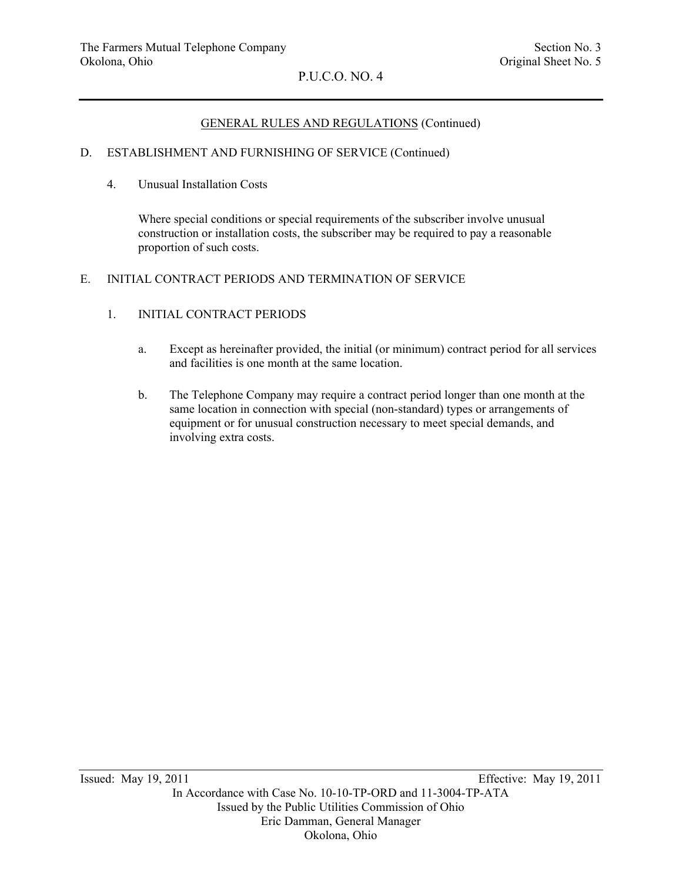## GENERAL RULES AND REGULATIONS (Continued)

#### D. ESTABLISHMENT AND FURNISHING OF SERVICE (Continued)

#### 4. Unusual Installation Costs

 Where special conditions or special requirements of the subscriber involve unusual construction or installation costs, the subscriber may be required to pay a reasonable proportion of such costs.

### E. INITIAL CONTRACT PERIODS AND TERMINATION OF SERVICE

#### 1. INITIAL CONTRACT PERIODS

- a. Except as hereinafter provided, the initial (or minimum) contract period for all services and facilities is one month at the same location.
- b. The Telephone Company may require a contract period longer than one month at the same location in connection with special (non-standard) types or arrangements of equipment or for unusual construction necessary to meet special demands, and involving extra costs.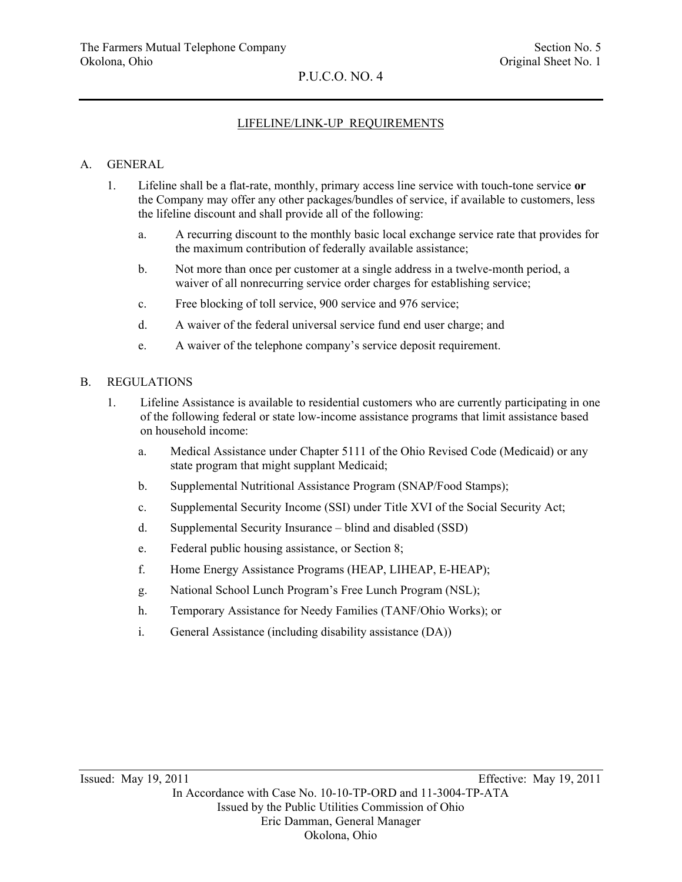## LIFELINE/LINK-UP REQUIREMENTS

## A. GENERAL

- 1. Lifeline shall be a flat-rate, monthly, primary access line service with touch-tone service **or**  the Company may offer any other packages/bundles of service, if available to customers, less the lifeline discount and shall provide all of the following:
	- a. A recurring discount to the monthly basic local exchange service rate that provides for the maximum contribution of federally available assistance;
	- b. Not more than once per customer at a single address in a twelve-month period, a waiver of all nonrecurring service order charges for establishing service;
	- c. Free blocking of toll service, 900 service and 976 service;
	- d. A waiver of the federal universal service fund end user charge; and
	- e. A waiver of the telephone company's service deposit requirement.

#### B. REGULATIONS

- 1. Lifeline Assistance is available to residential customers who are currently participating in one of the following federal or state low-income assistance programs that limit assistance based on household income:
	- a. Medical Assistance under Chapter 5111 of the Ohio Revised Code (Medicaid) or any state program that might supplant Medicaid;
	- b. Supplemental Nutritional Assistance Program (SNAP/Food Stamps);
	- c. Supplemental Security Income (SSI) under Title XVI of the Social Security Act;
	- d. Supplemental Security Insurance blind and disabled (SSD)
	- e. Federal public housing assistance, or Section 8;
	- f. Home Energy Assistance Programs (HEAP, LIHEAP, E-HEAP);
	- g. National School Lunch Program's Free Lunch Program (NSL);
	- h. Temporary Assistance for Needy Families (TANF/Ohio Works); or
	- i. General Assistance (including disability assistance (DA))